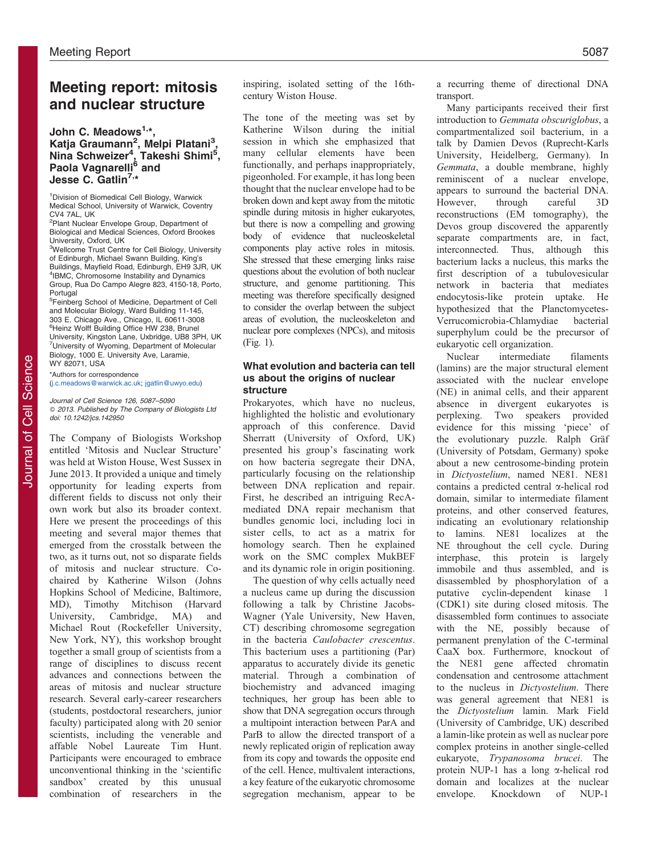# Meeting report: mitosis and nuclear structure

# John C. Meadows<sup>1,\*</sup>, Katja Graumann<sup>2</sup>, Melpi Platani<sup>3</sup>, Nina Schweizer<sup>4</sup>, Takeshi Shimi<sup>5</sup>, Paola Vagnarelli<sup>6</sup> and Jesse C. Gatlin<sup>7,\*</sup>

<sup>1</sup> Division of Biomedical Cell Biology, Warwick Medical School, University of Warwick, Coventry CV4 7AL, UK

<sup>2</sup>Plant Nuclear Envelope Group, Department of Biological and Medical Sciences, Oxford Brookes University, Oxford, UK

<sup>3</sup>Wellcome Trust Centre for Cell Biology, University of Edinburgh, Michael Swann Building, King's Buildings, Mayfield Road, Edinburgh, EH9 3JR, UK 4 IBMC, Chromosome Instability and Dynamics Group, Rua Do Campo Alegre 823, 4150-18, Porto, Portugal

5 Feinberg School of Medicine, Department of Cell and Molecular Biology, Ward Building 11-145, 303 E. Chicago Ave., Chicago, IL 60611-3008 6 Heinz Wolff Building Office HW 238, Brunel University, Kingston Lane, Uxbridge, UB8 3PH, UK 7 University of Wyoming, Department of Molecular Biology, 1000 E. University Ave, Laramie, WY 82071, USA

# \*Authors for correspondence

([j.c.meadows@warwick.ac.uk](mailto:j.c.meadows@warwick.ac.uk); [jgatlin@uwyo.edu](mailto:jgatlin@uwyo.edu))

Journal of Cell Science 126, 5087–5090 © 2013. Published by The Company of Biologists Ltd doi: 10.1242/jcs.142950

The Company of Biologists Workshop entitled 'Mitosis and Nuclear Structure' was held at Wiston House, West Sussex in June 2013. It provided a unique and timely opportunity for leading experts from different fields to discuss not only their own work but also its broader context. Here we present the proceedings of this meeting and several major themes that emerged from the crosstalk between the two, as it turns out, not so disparate fields of mitosis and nuclear structure. Cochaired by Katherine Wilson (Johns Hopkins School of Medicine, Baltimore, MD), Timothy Mitchison (Harvard University, Cambridge, MA) and Michael Rout (Rockefeller University, New York, NY), this workshop brought together a small group of scientists from a range of disciplines to discuss recent advances and connections between the areas of mitosis and nuclear structure research. Several early-career researchers (students, postdoctoral researchers, junior faculty) participated along with 20 senior scientists, including the venerable and affable Nobel Laureate Tim Hunt. Participants were encouraged to embrace unconventional thinking in the 'scientific sandbox' created by this unusual combination of researchers in the

inspiring, isolated setting of the 16thcentury Wiston House.

The tone of the meeting was set by Katherine Wilson during the initial session in which she emphasized that many cellular elements have been functionally, and perhaps inappropriately, pigeonholed. For example, it has long been thought that the nuclear envelope had to be broken down and kept away from the mitotic spindle during mitosis in higher eukaryotes, but there is now a compelling and growing body of evidence that nucleoskeletal components play active roles in mitosis. She stressed that these emerging links raise questions about the evolution of both nuclear structure, and genome partitioning. This meeting was therefore specifically designed to consider the overlap between the subject areas of evolution, the nucleoskeleton and nuclear pore complexes (NPCs), and mitosis [\(Fig. 1](#page-1-0)).

### What evolution and bacteria can tell us about the origins of nuclear structure

Prokaryotes, which have no nucleus, highlighted the holistic and evolutionary approach of this conference. David Sherratt (University of Oxford, UK) presented his group's fascinating work on how bacteria segregate their DNA, particularly focusing on the relationship between DNA replication and repair. First, he described an intriguing RecAmediated DNA repair mechanism that bundles genomic loci, including loci in sister cells, to act as a matrix for homology search. Then he explained work on the SMC complex MukBEF and its dynamic role in origin positioning.

The question of why cells actually need a nucleus came up during the discussion following a talk by Christine Jacobs-Wagner (Yale University, New Haven, CT) describing chromosome segregation in the bacteria Caulobacter crescentus. This bacterium uses a partitioning (Par) apparatus to accurately divide its genetic material. Through a combination of biochemistry and advanced imaging techniques, her group has been able to show that DNA segregation occurs through a multipoint interaction between ParA and ParB to allow the directed transport of a newly replicated origin of replication away from its copy and towards the opposite end of the cell. Hence, multivalent interactions, a key feature of the eukaryotic chromosome segregation mechanism, appear to be a recurring theme of directional DNA transport.

Many participants received their first introduction to Gemmata obscuriglobus, a compartmentalized soil bacterium, in a talk by Damien Devos (Ruprecht-Karls University, Heidelberg, Germany). In Gemmata, a double membrane, highly reminiscent of a nuclear envelope, appears to surround the bacterial DNA. However, through careful 3D reconstructions (EM tomography), the Devos group discovered the apparently separate compartments are, in fact, interconnected. Thus, although this bacterium lacks a nucleus, this marks the first description of a tubulovesicular network in bacteria that mediates endocytosis-like protein uptake. He hypothesized that the Planctomycetes-Verrucomicrobia-Chlamydiae bacterial superphylum could be the precursor of eukaryotic cell organization.

Nuclear intermediate filaments (lamins) are the major structural element associated with the nuclear envelope (NE) in animal cells, and their apparent absence in divergent eukaryotes is perplexing. Two speakers provided evidence for this missing 'piece' of the evolutionary puzzle. Ralph Gräf (University of Potsdam, Germany) spoke about a new centrosome-binding protein in Dictyostelium, named NE81. NE81 contains a predicted central a-helical rod domain, similar to intermediate filament proteins, and other conserved features, indicating an evolutionary relationship to lamins. NE81 localizes at the NE throughout the cell cycle. During interphase, this protein is largely immobile and thus assembled, and is disassembled by phosphorylation of a putative cyclin-dependent kinase 1 (CDK1) site during closed mitosis. The disassembled form continues to associate with the NE, possibly because of permanent prenylation of the C-terminal CaaX box. Furthermore, knockout of the NE81 gene affected chromatin condensation and centrosome attachment to the nucleus in Dictyostelium. There was general agreement that NE81 is the Dictyostelium lamin. Mark Field (University of Cambridge, UK) described a lamin-like protein as well as nuclear pore complex proteins in another single-celled eukaryote, Trypanosoma brucei. The protein NUP-1 has a long a-helical rod domain and localizes at the nuclear envelope. Knockdown of NUP-1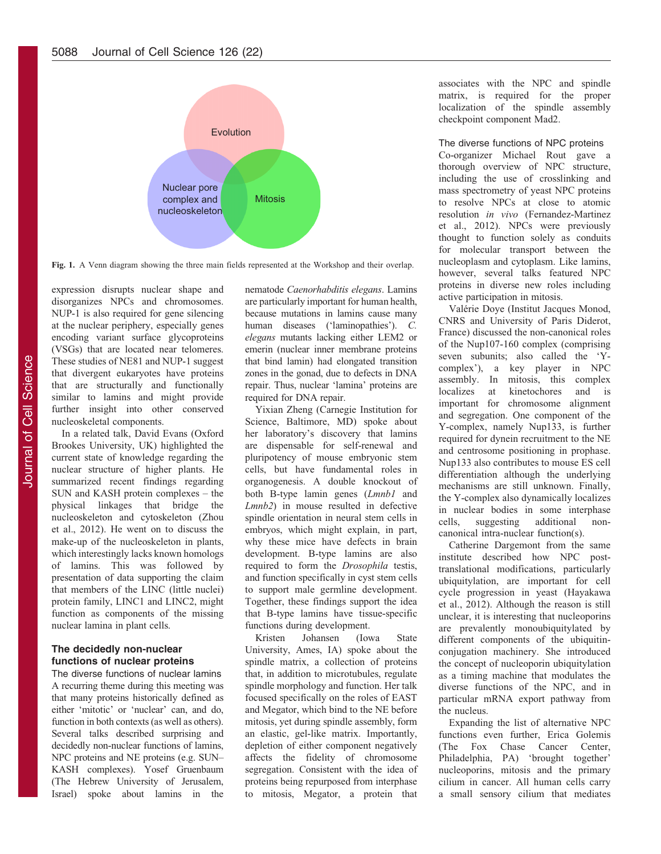<span id="page-1-0"></span>

Fig. 1. A Venn diagram showing the three main fields represented at the Workshop and their overlap.

expression disrupts nuclear shape and disorganizes NPCs and chromosomes. NUP-1 is also required for gene silencing at the nuclear periphery, especially genes encoding variant surface glycoproteins (VSGs) that are located near telomeres. These studies of NE81 and NUP-1 suggest that divergent eukaryotes have proteins that are structurally and functionally similar to lamins and might provide further insight into other conserved nucleoskeletal components.

In a related talk, David Evans (Oxford Brookes University, UK) highlighted the current state of knowledge regarding the nuclear structure of higher plants. He summarized recent findings regarding SUN and KASH protein complexes – the physical linkages that bridge the nucleoskeleton and cytoskeleton [\(Zhou](#page-3-0) [et al., 2012](#page-3-0)). He went on to discuss the make-up of the nucleoskeleton in plants, which interestingly lacks known homologs of lamins. This was followed by presentation of data supporting the claim that members of the LINC (little nuclei) protein family, LINC1 and LINC2, might function as components of the missing nuclear lamina in plant cells.

# The decidedly non-nuclear functions of nuclear proteins

The diverse functions of nuclear lamins A recurring theme during this meeting was that many proteins historically defined as either 'mitotic' or 'nuclear' can, and do, function in both contexts (as well as others). Several talks described surprising and decidedly non-nuclear functions of lamins, NPC proteins and NE proteins (e.g. SUN– KASH complexes). Yosef Gruenbaum (The Hebrew University of Jerusalem, Israel) spoke about lamins in the nematode Caenorhabditis elegans. Lamins are particularly important for human health, because mutations in lamins cause many human diseases ('laminopathies'). C. elegans mutants lacking either LEM2 or emerin (nuclear inner membrane proteins that bind lamin) had elongated transition zones in the gonad, due to defects in DNA repair. Thus, nuclear 'lamina' proteins are required for DNA repair.

Yixian Zheng (Carnegie Institution for Science, Baltimore, MD) spoke about her laboratory's discovery that lamins are dispensable for self-renewal and pluripotency of mouse embryonic stem cells, but have fundamental roles in organogenesis. A double knockout of both B-type lamin genes (Lmnb1 and Lmnb2) in mouse resulted in defective spindle orientation in neural stem cells in embryos, which might explain, in part, why these mice have defects in brain development. B-type lamins are also required to form the Drosophila testis, and function specifically in cyst stem cells to support male germline development. Together, these findings support the idea that B-type lamins have tissue-specific functions during development.

Kristen Johansen (Iowa State University, Ames, IA) spoke about the spindle matrix, a collection of proteins that, in addition to microtubules, regulate spindle morphology and function. Her talk focused specifically on the roles of EAST and Megator, which bind to the NE before mitosis, yet during spindle assembly, form an elastic, gel-like matrix. Importantly, depletion of either component negatively affects the fidelity of chromosome segregation. Consistent with the idea of proteins being repurposed from interphase to mitosis, Megator, a protein that

associates with the NPC and spindle matrix, is required for the proper localization of the spindle assembly checkpoint component Mad2.

### The diverse functions of NPC proteins

Co-organizer Michael Rout gave a thorough overview of NPC structure, including the use of crosslinking and mass spectrometry of yeast NPC proteins to resolve NPCs at close to atomic resolution in vivo ([Fernandez-Martinez](#page-3-0) [et al., 2012](#page-3-0)). NPCs were previously thought to function solely as conduits for molecular transport between the nucleoplasm and cytoplasm. Like lamins, however, several talks featured NPC proteins in diverse new roles including active participation in mitosis.

Valérie Doye (Institut Jacques Monod, CNRS and University of Paris Diderot, France) discussed the non-canonical roles of the Nup107-160 complex (comprising seven subunits; also called the 'Ycomplex'), a key player in NPC assembly. In mitosis, this complex localizes at kinetochores and is important for chromosome alignment and segregation. One component of the Y-complex, namely Nup133, is further required for dynein recruitment to the NE and centrosome positioning in prophase. Nup133 also contributes to mouse ES cell differentiation although the underlying mechanisms are still unknown. Finally, the Y-complex also dynamically localizes in nuclear bodies in some interphase cells, suggesting additional noncanonical intra-nuclear function(s).

Catherine Dargemont from the same institute described how NPC posttranslational modifications, particularly ubiquitylation, are important for cell cycle progression in yeast ([Hayakawa](#page-3-0) [et al., 2012\)](#page-3-0). Although the reason is still unclear, it is interesting that nucleoporins are prevalently monoubiquitylated by different components of the ubiquitinconjugation machinery. She introduced the concept of nucleoporin ubiquitylation as a timing machine that modulates the diverse functions of the NPC, and in particular mRNA export pathway from the nucleus.

Expanding the list of alternative NPC functions even further, Erica Golemis (The Fox Chase Cancer Center, Philadelphia, PA) 'brought together' nucleoporins, mitosis and the primary cilium in cancer. All human cells carry a small sensory cilium that mediates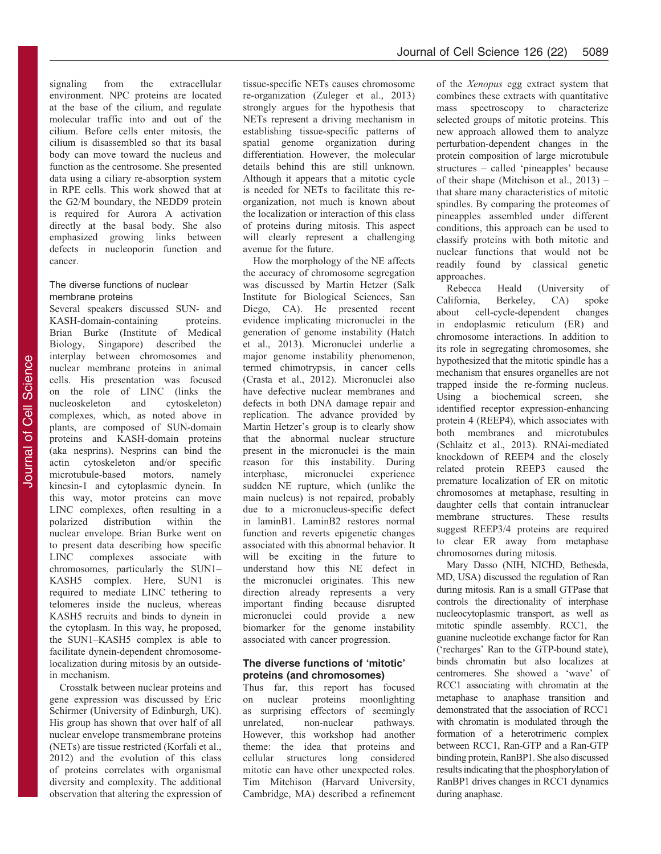signaling from the extracellular environment. NPC proteins are located at the base of the cilium, and regulate molecular traffic into and out of the cilium. Before cells enter mitosis, the cilium is disassembled so that its basal body can move toward the nucleus and function as the centrosome. She presented data using a ciliary re-absorption system in RPE cells. This work showed that at the G2/M boundary, the NEDD9 protein is required for Aurora A activation directly at the basal body. She also emphasized growing links between defects in nucleoporin function and cancer.

# The diverse functions of nuclear membrane proteins

Several speakers discussed SUN- and KASH-domain-containing proteins. Brian Burke (Institute of Medical Biology, Singapore) described the interplay between chromosomes and nuclear membrane proteins in animal cells. His presentation was focused on the role of LINC (links the nucleoskeleton and cytoskeleton) complexes, which, as noted above in plants, are composed of SUN-domain proteins and KASH-domain proteins (aka nesprins). Nesprins can bind the actin cytoskeleton and/or specific microtubule-based motors, namely kinesin-1 and cytoplasmic dynein. In this way, motor proteins can move LINC complexes, often resulting in a polarized distribution within the nuclear envelope. Brian Burke went on to present data describing how specific LINC complexes associate with chromosomes, particularly the SUN1– KASH5 complex. Here, SUN1 is required to mediate LINC tethering to telomeres inside the nucleus, whereas KASH5 recruits and binds to dynein in the cytoplasm. In this way, he proposed, the SUN1–KASH5 complex is able to facilitate dynein-dependent chromosomelocalization during mitosis by an outsidein mechanism.

Crosstalk between nuclear proteins and gene expression was discussed by Eric Schirmer (University of Edinburgh, UK). His group has shown that over half of all nuclear envelope transmembrane proteins (NETs) are tissue restricted ([Korfali et al.,](#page-3-0) [2012\)](#page-3-0) and the evolution of this class of proteins correlates with organismal diversity and complexity. The additional observation that altering the expression of tissue-specific NETs causes chromosome re-organization [\(Zuleger et al., 2013](#page-3-0)) strongly argues for the hypothesis that NETs represent a driving mechanism in establishing tissue-specific patterns of spatial genome organization during differentiation. However, the molecular details behind this are still unknown. Although it appears that a mitotic cycle is needed for NETs to facilitate this reorganization, not much is known about the localization or interaction of this class of proteins during mitosis. This aspect will clearly represent a challenging avenue for the future.

How the morphology of the NE affects the accuracy of chromosome segregation was discussed by Martin Hetzer (Salk Institute for Biological Sciences, San Diego, CA). He presented recent evidence implicating micronuclei in the generation of genome instability ([Hatch](#page-3-0) [et al., 2013](#page-3-0)). Micronuclei underlie a major genome instability phenomenon, termed chimotrypsis, in cancer cells [\(Crasta et al., 2012](#page-3-0)). Micronuclei also have defective nuclear membranes and defects in both DNA damage repair and replication. The advance provided by Martin Hetzer's group is to clearly show that the abnormal nuclear structure present in the micronuclei is the main reason for this instability. During interphase, micronuclei experience sudden NE rupture, which (unlike the main nucleus) is not repaired, probably due to a micronucleus-specific defect in laminB1. LaminB2 restores normal function and reverts epigenetic changes associated with this abnormal behavior. It will be exciting in the future to understand how this NE defect in the micronuclei originates. This new direction already represents a very important finding because disrupted micronuclei could provide a new biomarker for the genome instability associated with cancer progression.

# The diverse functions of 'mitotic' proteins (and chromosomes)

Thus far, this report has focused on nuclear proteins moonlighting as surprising effectors of seemingly unrelated, non-nuclear pathways. However, this workshop had another theme: the idea that proteins and cellular structures long considered mitotic can have other unexpected roles. Tim Mitchison (Harvard University, Cambridge, MA) described a refinement of the Xenopus egg extract system that combines these extracts with quantitative mass spectroscopy to characterize selected groups of mitotic proteins. This new approach allowed them to analyze perturbation-dependent changes in the protein composition of large microtubule structures – called 'pineapples' because of their shape [\(Mitchison et al., 2013\)](#page-3-0) – that share many characteristics of mitotic spindles. By comparing the proteomes of pineapples assembled under different conditions, this approach can be used to classify proteins with both mitotic and nuclear functions that would not be readily found by classical genetic approaches.

Rebecca Heald (University of California, Berkeley, CA) spoke about cell-cycle-dependent changes in endoplasmic reticulum (ER) and chromosome interactions. In addition to its role in segregating chromosomes, she hypothesized that the mitotic spindle has a mechanism that ensures organelles are not trapped inside the re-forming nucleus. Using a biochemical screen, she identified receptor expression-enhancing protein 4 (REEP4), which associates with both membranes and microtubules ([Schlaitz et al., 2013\)](#page-3-0). RNAi-mediated knockdown of REEP4 and the closely related protein REEP3 caused the premature localization of ER on mitotic chromosomes at metaphase, resulting in daughter cells that contain intranuclear membrane structures. These results suggest REEP3/4 proteins are required to clear ER away from metaphase chromosomes during mitosis.

Mary Dasso (NIH, NICHD, Bethesda, MD, USA) discussed the regulation of Ran during mitosis. Ran is a small GTPase that controls the directionality of interphase nucleocytoplasmic transport, as well as mitotic spindle assembly. RCC1, the guanine nucleotide exchange factor for Ran ('recharges' Ran to the GTP-bound state), binds chromatin but also localizes at centromeres. She showed a 'wave' of RCC1 associating with chromatin at the metaphase to anaphase transition and demonstrated that the association of RCC1 with chromatin is modulated through the formation of a heterotrimeric complex between RCC1, Ran-GTP and a Ran-GTP binding protein, RanBP1. She also discussed results indicating that the phosphorylation of RanBP1 drives changes in RCC1 dynamics during anaphase.